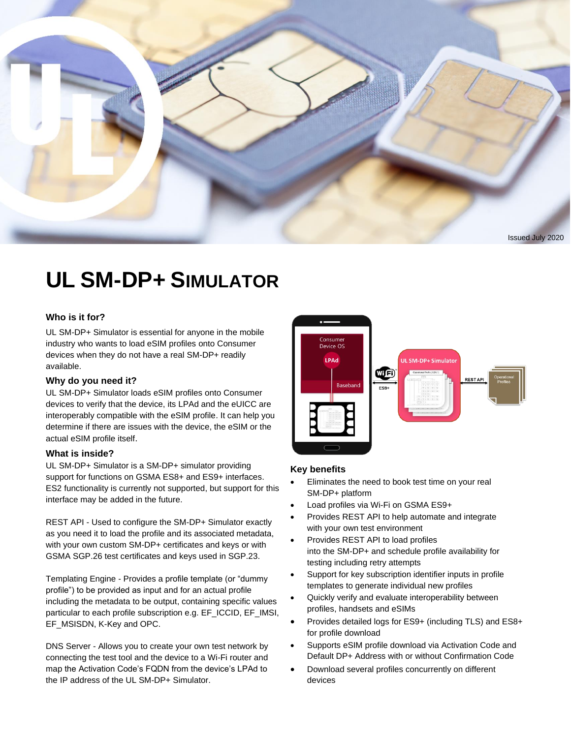

## **UL SM-DP+ SIMULATOR**

#### **Who is it for?**

UL SM-DP+ Simulator is essential for anyone in the mobile industry who wants to load eSIM profiles onto Consumer devices when they do not have a real SM-DP+ readily available.

#### **Why do you need it?**

UL SM-DP+ Simulator loads eSIM profiles onto Consumer devices to verify that the device, its LPAd and the eUICC are interoperably compatible with the eSIM profile. It can help you determine if there are issues with the device, the eSIM or the actual eSIM profile itself.

#### **What is inside?**

UL SM-DP+ Simulator is a SM-DP+ simulator providing support for functions on GSMA ES8+ and ES9+ interfaces. ES2 functionality is currently not supported, but support for this interface may be added in the future.

REST API - Used to configure the SM-DP+ Simulator exactly as you need it to load the profile and its associated metadata, with your own custom SM-DP+ certificates and keys or with GSMA SGP.26 test certificates and keys used in SGP.23.

Templating Engine - Provides a profile template (or "dummy profile") to be provided as input and for an actual profile including the metadata to be output, containing specific values particular to each profile subscription e.g. EF\_ICCID, EF\_IMSI, EF\_MSISDN, K-Key and OPC.

DNS Server - Allows you to create your own test network by connecting the test tool and the device to a Wi-Fi router and map the Activation Code's FQDN from the device's LPAd to the IP address of the UL SM-DP+ Simulator.



#### **Key benefits**

- Eliminates the need to book test time on your real SM-DP+ platform
- Load profiles via Wi-Fi on GSMA ES9+
- Provides REST API to help automate and integrate with your own test environment
- Provides REST API to load profiles into the SM-DP+ and schedule profile availability for testing including retry attempts
- Support for key subscription identifier inputs in profile templates to generate individual new profiles
- Quickly verify and evaluate interoperability between profiles, handsets and eSIMs
- Provides detailed logs for ES9+ (including TLS) and ES8+ for profile download
- Supports eSIM profile download via Activation Code and Default DP+ Address with or without Confirmation Code
- Download several profiles concurrently on different devices